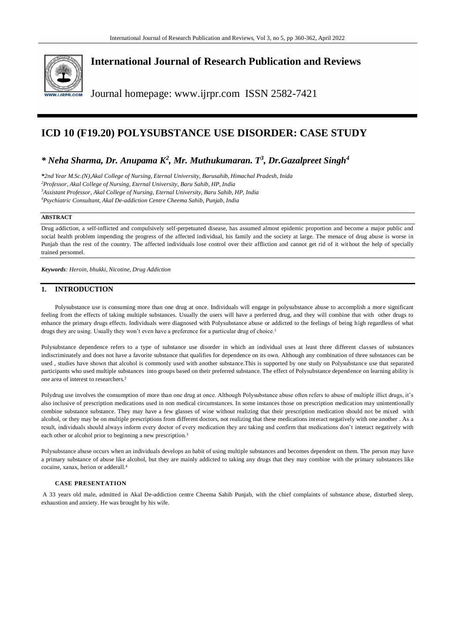

# **International Journal of Research Publication and Reviews**

Journal homepage: www.ijrpr.com ISSN 2582-7421

# **ICD 10 (F19.20) POLYSUBSTANCE USE DISORDER: CASE STUDY**

## *\* Neha Sharma, Dr. Anupama K<sup>2</sup> , Mr. Muthukumaran. T<sup>3</sup> , Dr.Gazalpreet Singh<sup>4</sup>*

*\*2nd Year M.Sc.(N),Akal College of Nursing, Eternal University, Barusahib, Himachal Pradesh, Inida Professor, Akal College of Nursing, Eternal University, Baru Sahib, HP, India Assistant Professor, Akal College of Nursing, Eternal University, Baru Sahib, HP, India Psychiatric Consultant, Akal De-addiction Centre Cheema Sahib, Punjab, India*

### **ABSTRACT**

Drug addiction, a self-inflicted and compulsively self-perpetuated disease, has assumed almost epidemic proportion and become a major public and social health problem impending the progress of the affected individual, his family and the society at large. The menace of drug abuse is worse in Punjab than the rest of the country. The affected individuals lose control over their affliction and cannot get rid of it without the help of specially trained personnel.

*Keywords: Heroin, bhukki, Nicotine, Drug Addiction*

## **1. INTRODUCTION**

Polysubstance use is consuming more than one drug at once. Individuals will engage in polysubstance abuse to accomplish a more significant feeling from the effects of taking multiple substances. Usually the users will have a preferred drug, and they will combine that with other drugs to enhance the primary drugs effects. Individuals were diagnosed with Polysubstance abuse or addicted to the feelings of being high regardless of what drugs they are using. Usually they won't even have a preference for a particular drug of choice.<sup>1</sup>

Polysubstance dependence refers to a type of substance use disorder in which an individual uses at least three different classes of substances indiscriminately and does not have a favorite substance that qualifies for dependence on its own. Although any combination of three substances can be used , studies have shown that alcohol is commonly used with another substance.This is supported by one study on Polysubstance use that separated participants who used multiple substances into groups based on their preferred substance. The effect of Polysubstance dependence on learning ability is one area of interest to researchers.<sup>2</sup>

Polydrug use involves the consumption of more than one drug at once. Although Polysubstance abuse often refers to abuse of multiple illict drugs, it's also inclusive of prescription medications used in non medical circumstances. In some instances those on prescription medication may unintentionally combine substance substance. They may have a few glasses of wine without realizing that their prescription medication should not be mixed with alcohol, or they may be on multiple prescriptions from different doctors, not realizing that these medications interact negatively with one another . As a result, individuals should always inform every doctor of every medication they are taking and confirm that medications don't interact negatively with each other or alcohol prior to beginning a new prescription.<sup>3</sup>

Polysubstance abuse occurs when an individuals develops an habit of using multiple substances and becomes dependent on them. The person may have a primary substance of abuse like alcohol, but they are mainly addicted to taking any drugs that they may combine with the primary substances like cocaine, xanax, herion or adderall.<sup>4</sup>

#### **CASE PRESENTATION**

A 33 years old male, admitted in Akal De-addiction centre Cheema Sahib Punjab, with the chief complaints of substance abuse, disturbed sleep, exhaustion and anxiety. He was brought by his wife.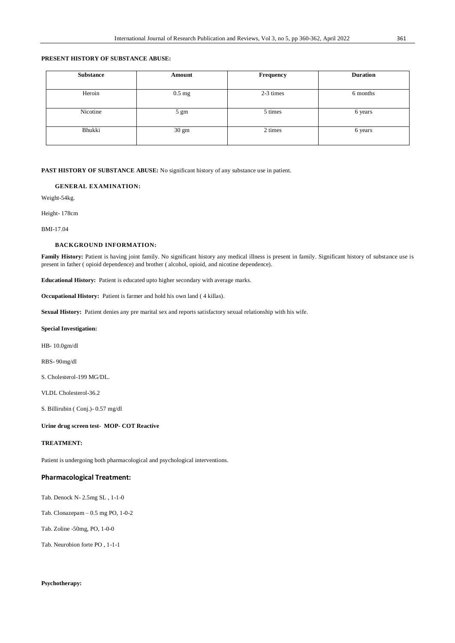## **PRESENT HISTORY OF SUBSTANCE ABUSE:**

| <b>Substance</b> | Amount         | Frequency | <b>Duration</b> |
|------------------|----------------|-----------|-----------------|
|                  |                |           |                 |
| Heroin           | $0.5$ mg       | 2-3 times | 6 months        |
| Nicotine         | $5 \text{ gm}$ | 5 times   | 6 years         |
| Bhukki           | 30 gm          | 2 times   | 6 years         |

**PAST HISTORY OF SUBSTANCE ABUSE:** No significant history of any substance use in patient.

#### **GENERAL EXAMINATION:**

Weight-54kg.

Height- 178cm

BMI-17.04

#### **BACKGROUND INFORMATION:**

Family History: Patient is having joint family. No significant history any medical illness is present in family. Significant history of substance use is present in father ( opioid dependence) and brother ( alcohol, opioid, and nicotine dependence).

**Educational History:** Patient is educated upto higher secondary with average marks.

**Occupational History:** Patient is farmer and hold his own land ( 4 killas).

**Sexual History:** Patient denies any pre marital sex and reports satisfactory sexual relationship with his wife.

#### **Special Investigation:**

HB- 10.0gm/dl

RBS- 90mg/dl

S. Cholesterol-199 MG/DL.

VLDL Cholesterol-36.2

S. Billirubin ( Conj.)- 0.57 mg/dl

#### **Urine drug screen test- MOP- COT Reactive**

#### **TREATMENT:**

Patient is undergoing both pharmacological and psychological interventions.

#### **Pharmacological Treatment:**

Tab. Denock N- 2.5mg SL , 1-1-0

Tab. Clonazepam – 0.5 mg PO, 1-0-2

Tab. Zoline -50mg, PO, 1-0-0

Tab. Neurobion forte PO , 1-1-1

## **Psychotherapy:**